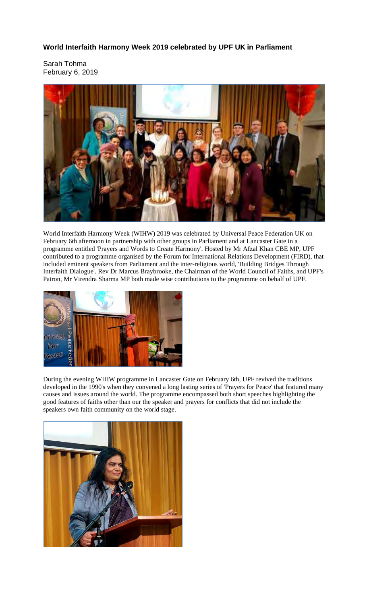**World Interfaith Harmony Week 2019 celebrated by UPF UK in Parliament** 

Sarah Tohma February 6, 2019



World Interfaith Harmony Week (WIHW) 2019 was celebrated by Universal Peace Federation UK on February 6th afternoon in partnership with other groups in Parliament and at Lancaster Gate in a programme entitled 'Prayers and Words to Create Harmony'. Hosted by Mr Afzal Khan CBE MP, UPF contributed to a programme organised by the Forum for International Relations Development (FIRD), that included eminent speakers from Parliament and the inter-religious world, 'Building Bridges Through Interfaith Dialogue'. Rev Dr Marcus Braybrooke, the Chairman of the World Council of Faiths, and UPF's Patron, Mr Virendra Sharma MP both made wise contributions to the programme on behalf of UPF.



During the evening WIHW programme in Lancaster Gate on February 6th, UPF revived the traditions developed in the 1990's when they convened a long lasting series of 'Prayers for Peace' that featured many causes and issues around the world. The programme encompassed both short speeches highlighting the good features of faiths other than our the speaker and prayers for conflicts that did not include the speakers own faith community on the world stage.

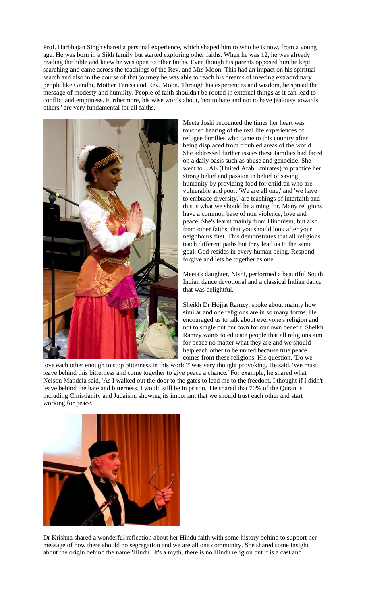Prof. Harbhajan Singh shared a personal experience, which shaped him to who he is now, from a young age. He was born in a Sikh family but started exploring other faiths. When he was 12, he was already reading the bible and knew he was open to other faiths. Even though his parents opposed him he kept searching and came across the teachings of the Rev. and Mrs Moon. This had an impact on his spiritual search and also in the course of that journey he was able to reach his dreams of meeting extraordinary people like Gandhi, Mother Teresa and Rev. Moon. Through his experiences and wisdom, he spread the message of modesty and humility. People of faith shouldn't be rooted in external things as it can lead to conflict and emptiness. Furthermore, his wise words about, 'not to hate and not to have jealousy towards others,' are very fundamental for all faiths.



Meeta Joshi recounted the times her heart was touched hearing of the real life experiences of refugee families who came to this country after being displaced from troubled areas of the world. She addressed further issues these families had faced on a daily basis such as abuse and genocide. She went to UAE (United Arab Emirates) to practice her strong belief and passion in belief of saving humanity by providing food for children who are vulnerable and poor. 'We are all one,' and 'we have to embrace diversity,' are teachings of interfaith and this is what we should be aiming for. Many religions have a common base of non violence, love and peace. She's learnt mainly from Hinduism, but also from other faiths, that you should look after your neighbours first. This demonstrates that all religions teach different paths but they lead us to the same goal. God resides in every human being. Respond, forgive and lets be together as one.

Meeta's daughter, Nishi, performed a beautiful South Indian dance devotional and a classical Indian dance that was delightful.

Sheikh Dr Hojjat Ramzy, spoke about mainly how similar and one religions are in so many forms. He encouraged us to talk about everyone's religion and not to single out our own for our own benefit. Sheikh Ramzy wants to educate people that all religions aim for peace no matter what they are and we should help each other to be united because true peace comes from these religions. His question, 'Do we

love each other enough to stop bitterness in this world?' was very thought provoking. He said, 'We must leave behind this bitterness and come together to give peace a chance.' For example, he shared what Nelson Mandela said, 'As I walked out the door to the gates to lead me to the freedom, I thought if I didn't leave behind the hate and bitterness, I would still be in prison.' He shared that 70% of the Quran is including Christianity and Judaism, showing its important that we should trust each other and start working for peace.



Dr Krishna shared a wonderful reflection about her Hindu faith with some history behind to support her message of how there should no segregation and we are all one community. She shared some insight about the origin behind the name 'Hindu'. It's a myth, there is no Hindu religion but it is a cast and